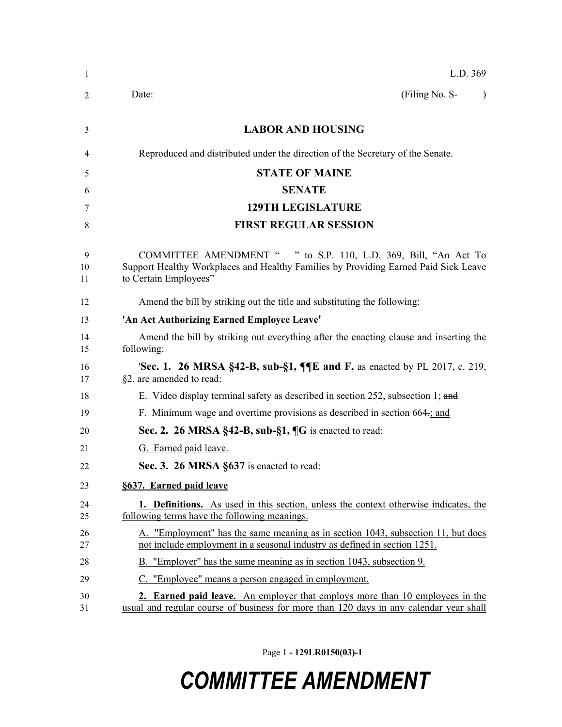| 1             | L.D. 369                                                                                                                                                                        |
|---------------|---------------------------------------------------------------------------------------------------------------------------------------------------------------------------------|
| 2             | (Filing No. S-<br>Date:                                                                                                                                                         |
| 3             | <b>LABOR AND HOUSING</b>                                                                                                                                                        |
| 4             | Reproduced and distributed under the direction of the Secretary of the Senate.                                                                                                  |
|               | <b>STATE OF MAINE</b>                                                                                                                                                           |
| 5             | <b>SENATE</b>                                                                                                                                                                   |
| 6<br>7        | <b>129TH LEGISLATURE</b>                                                                                                                                                        |
| 8             | <b>FIRST REGULAR SESSION</b>                                                                                                                                                    |
|               |                                                                                                                                                                                 |
| 9<br>10<br>11 | COMMITTEE AMENDMENT " " to S.P. 110, L.D. 369, Bill, "An Act To<br>Support Healthy Workplaces and Healthy Families by Providing Earned Paid Sick Leave<br>to Certain Employees" |
| 12            | Amend the bill by striking out the title and substituting the following:                                                                                                        |
| 13            | 'An Act Authorizing Earned Employee Leave'                                                                                                                                      |
| 14<br>15      | Amend the bill by striking out everything after the enacting clause and inserting the<br>following:                                                                             |
| 16<br>17      | <b>Sec. 1. 26 MRSA §42-B, sub-§1, <math>\P</math></b> $\P$ <b>E</b> and <b>F</b> , as enacted by PL 2017, c. 219,<br>§2, are amended to read:                                   |
| 18            | E. Video display terminal safety as described in section 252, subsection 1; and                                                                                                 |
| 19            | F. Minimum wage and overtime provisions as described in section 664-; and                                                                                                       |
| 20            | Sec. 2. 26 MRSA §42-B, sub-§1, ¶G is enacted to read:                                                                                                                           |
| 21            | G. Earned paid leave.                                                                                                                                                           |
| 22            | Sec. 3. 26 MRSA §637 is enacted to read:                                                                                                                                        |
| 23            | §637. Earned paid leave                                                                                                                                                         |
| 24<br>25      | <b>1. Definitions.</b> As used in this section, unless the context otherwise indicates, the<br>following terms have the following meanings.                                     |
| 26<br>27      | A. "Employment" has the same meaning as in section 1043, subsection 11, but does<br>not include employment in a seasonal industry as defined in section 1251.                   |
| 28            | B. "Employer" has the same meaning as in section 1043, subsection 9.                                                                                                            |
| 29            | C. "Employee <u>"</u> means a person engaged in employment.                                                                                                                     |
| 30<br>31      | 2. Earned paid leave. An employer that employs more than 10 employees in the<br>usual and regular course of business for more than 120 days in any calendar year shall          |

Page 1 **- 129LR0150(03)-1**

## *COMMITTEE AMENDMENT*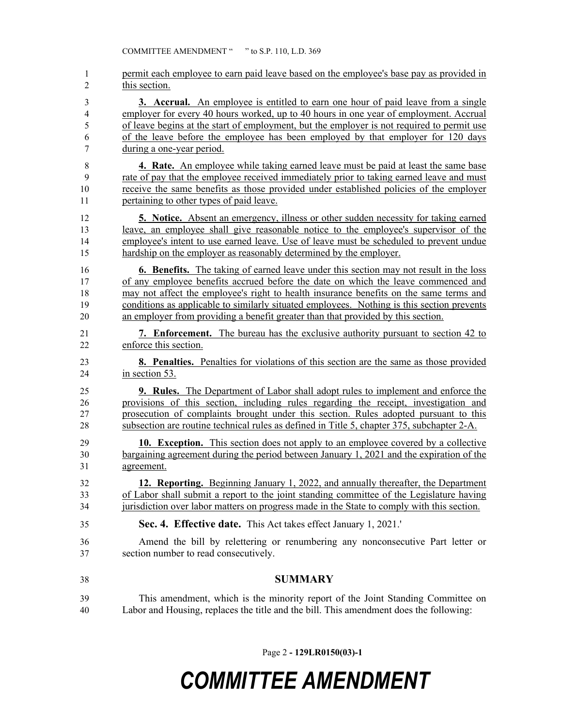permit each employee to earn paid leave based on the employee's base pay as provided in this section. **3. Accrual.** An employee is entitled to earn one hour of paid leave from a single employer for every 40 hours worked, up to 40 hours in one year of employment. Accrual of leave begins at the start of employment, but the employer is not required to permit use of the leave before the employee has been employed by that employer for 120 days during a one-year period. **4. Rate.** An employee while taking earned leave must be paid at least the same base rate of pay that the employee received immediately prior to taking earned leave and must receive the same benefits as those provided under established policies of the employer pertaining to other types of paid leave. **5. Notice.** Absent an emergency, illness or other sudden necessity for taking earned leave, an employee shall give reasonable notice to the employee's supervisor of the employee's intent to use earned leave. Use of leave must be scheduled to prevent undue hardship on the employer as reasonably determined by the employer. **6. Benefits.** The taking of earned leave under this section may not result in the loss of any employee benefits accrued before the date on which the leave commenced and may not affect the employee's right to health insurance benefits on the same terms and conditions as applicable to similarly situated employees. Nothing is this section prevents an employer from providing a benefit greater than that provided by this section. **7. Enforcement.** The bureau has the exclusive authority pursuant to section 42 to enforce this section. **8. Penalties.** Penalties for violations of this section are the same as those provided in section 53. **9. Rules.** The Department of Labor shall adopt rules to implement and enforce the provisions of this section, including rules regarding the receipt, investigation and prosecution of complaints brought under this section. Rules adopted pursuant to this subsection are routine technical rules as defined in Title 5, chapter 375, subchapter 2-A. **10. Exception.** This section does not apply to an employee covered by a collective bargaining agreement during the period between January 1, 2021 and the expiration of the agreement. **12. Reporting.** Beginning January 1, 2022, and annually thereafter, the Department of Labor shall submit a report to the joint standing committee of the Legislature having jurisdiction over labor matters on progress made in the State to comply with this section. **Sec. 4. Effective date.** This Act takes effect January 1, 2021.' Amend the bill by relettering or renumbering any nonconsecutive Part letter or section number to read consecutively. **SUMMARY** This amendment, which is the minority report of the Joint Standing Committee on Labor and Housing, replaces the title and the bill. This amendment does the following:

Page 2 **- 129LR0150(03)-1**

## *COMMITTEE AMENDMENT*